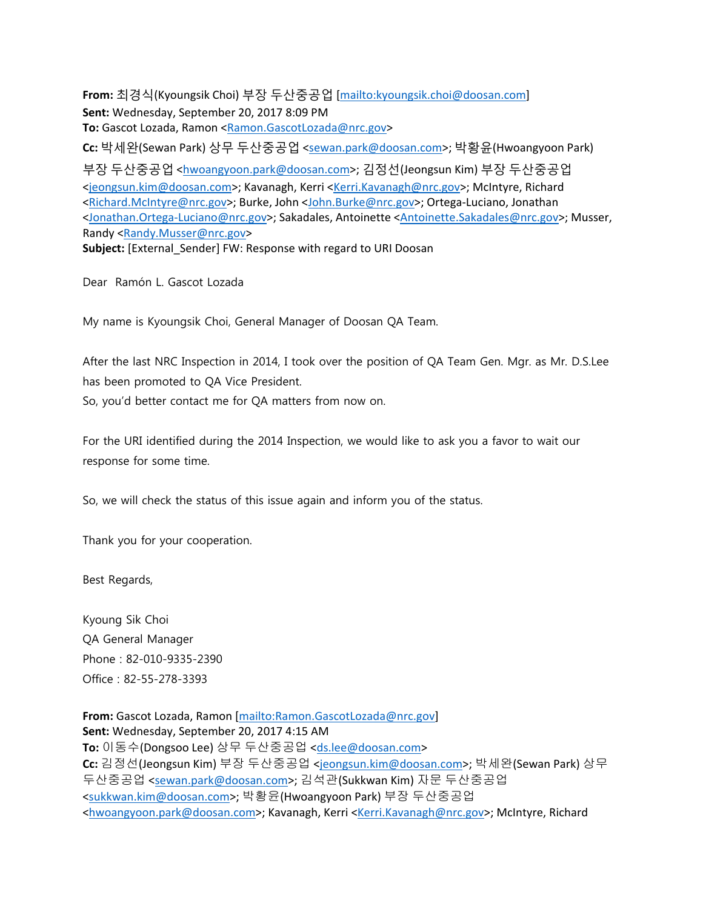**From:** 최경식(Kyoungsik Choi) 부장 두산중공업 [mailto:kyoungsik.choi@doosan.com] **Sent:** Wednesday, September 20, 2017 8:09 PM **To:** Gascot Lozada, Ramon <Ramon.GascotLozada@nrc.gov> **Cc:** 박세완(Sewan Park) 상무 두산중공업 <sewan.park@doosan.com>; 박황윤(Hwoangyoon Park) 부장 두산중공업 <hwoangyoon.park@doosan.com>; 김정선(Jeongsun Kim) 부장 두산중공업 <jeongsun.kim@doosan.com>; Kavanagh, Kerri <Kerri.Kavanagh@nrc.gov>; McIntyre, Richard <Richard.McIntyre@nrc.gov>; Burke, John <John.Burke@nrc.gov>; Ortega-Luciano, Jonathan <Jonathan.Ortega-Luciano@nrc.gov>; Sakadales, Antoinette <Antoinette.Sakadales@nrc.gov>; Musser, Randy <Randy.Musser@nrc.gov> Subject: [External Sender] FW: Response with regard to URI Doosan

Dear Ramón L. Gascot Lozada

My name is Kyoungsik Choi, General Manager of Doosan QA Team.

After the last NRC Inspection in 2014, I took over the position of QA Team Gen. Mgr. as Mr. D.S.Lee has been promoted to QA Vice President. So, you'd better contact me for QA matters from now on.

For the URI identified during the 2014 Inspection, we would like to ask you a favor to wait our response for some time.

So, we will check the status of this issue again and inform you of the status.

Thank you for your cooperation.

Best Regards,

Kyoung Sik Choi QA General Manager Phone : 82-010-9335-2390 Office : 82-55-278-3393

**From:** Gascot Lozada, Ramon [mailto:Ramon.GascotLozada@nrc.gov] **Sent:** Wednesday, September 20, 2017 4:15 AM **To:** 이동수(Dongsoo Lee) 상무 두산중공업 <ds.lee@doosan.com> **Cc:** 김정선(Jeongsun Kim) 부장 두산중공업 <jeongsun.kim@doosan.com>; 박세완(Sewan Park) 상무 두산중공업 <sewan.park@doosan.com>; 김석관(Sukkwan Kim) 자문 두산중공업 <sukkwan.kim@doosan.com>; 박황윤(Hwoangyoon Park) 부장 두산중공업 <hwoangyoon.park@doosan.com>; Kavanagh, Kerri <Kerri.Kavanagh@nrc.gov>; McIntyre, Richard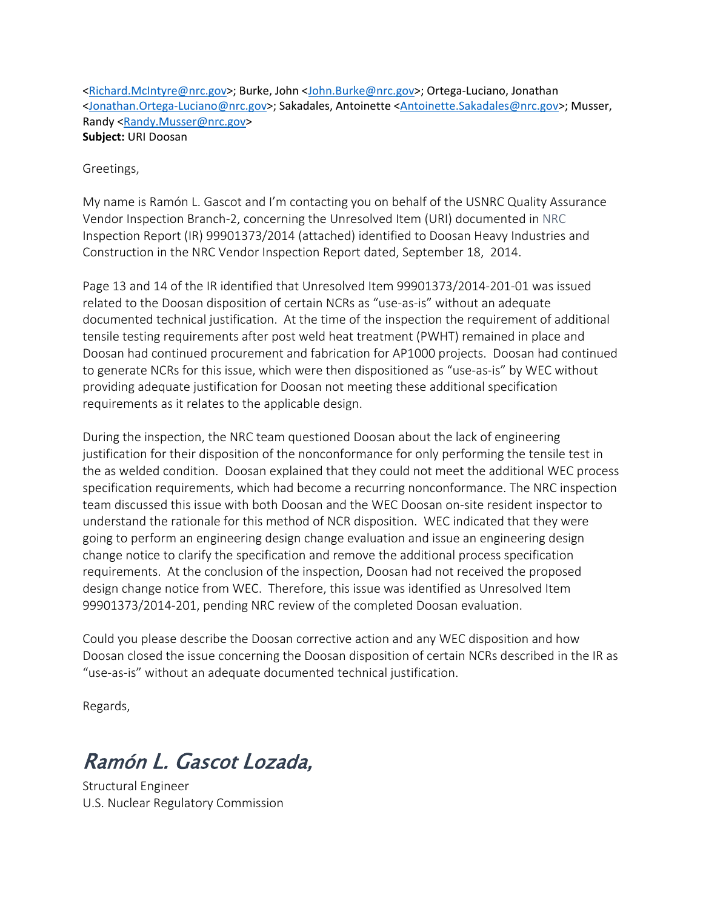<Richard.McIntyre@nrc.gov>; Burke, John <John.Burke@nrc.gov>; Ortega-Luciano, Jonathan <Jonathan.Ortega-Luciano@nrc.gov>; Sakadales, Antoinette <Antoinette.Sakadales@nrc.gov>; Musser, Randy <Randy.Musser@nrc.gov> **Subject:** URI Doosan

Greetings,

My name is Ramón L. Gascot and I'm contacting you on behalf of the USNRC Quality Assurance Vendor Inspection Branch-2, concerning the Unresolved Item (URI) documented in NRC Inspection Report (IR) 99901373/2014 (attached) identified to Doosan Heavy Industries and Construction in the NRC Vendor Inspection Report dated, September 18, 2014.

Page 13 and 14 of the IR identified that Unresolved Item 99901373/2014-201-01 was issued related to the Doosan disposition of certain NCRs as "use-as-is" without an adequate documented technical justification. At the time of the inspection the requirement of additional tensile testing requirements after post weld heat treatment (PWHT) remained in place and Doosan had continued procurement and fabrication for AP1000 projects. Doosan had continued to generate NCRs for this issue, which were then dispositioned as "use-as-is" by WEC without providing adequate justification for Doosan not meeting these additional specification requirements as it relates to the applicable design.

During the inspection, the NRC team questioned Doosan about the lack of engineering justification for their disposition of the nonconformance for only performing the tensile test in the as welded condition. Doosan explained that they could not meet the additional WEC process specification requirements, which had become a recurring nonconformance. The NRC inspection team discussed this issue with both Doosan and the WEC Doosan on-site resident inspector to understand the rationale for this method of NCR disposition. WEC indicated that they were going to perform an engineering design change evaluation and issue an engineering design change notice to clarify the specification and remove the additional process specification requirements. At the conclusion of the inspection, Doosan had not received the proposed design change notice from WEC. Therefore, this issue was identified as Unresolved Item 99901373/2014-201, pending NRC review of the completed Doosan evaluation.

Could you please describe the Doosan corrective action and any WEC disposition and how Doosan closed the issue concerning the Doosan disposition of certain NCRs described in the IR as "use-as-is" without an adequate documented technical justification.

Regards,

## Ramón L. Gascot Lozada,

Structural Engineer U.S. Nuclear Regulatory Commission